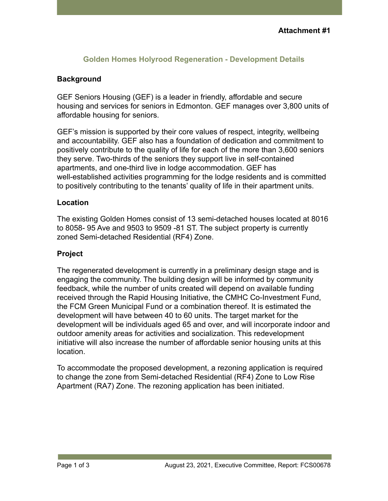## **Golden Homes Holyrood Regeneration - Development Details**

## **Background**

GEF Seniors Housing (GEF) is a leader in friendly, affordable and secure housing and services for seniors in Edmonton. GEF manages over 3,800 units of affordable housing for seniors.

GEF's mission is supported by their core values of respect, integrity, wellbeing and accountability. GEF also has a foundation of dedication and commitment to positively contribute to the quality of life for each of the more than 3,600 seniors they serve. Two-thirds of the seniors they support live in self-contained apartments, and one-third live in lodge accommodation. GEF has well-established activities programming for the lodge residents and is committed to positively contributing to the tenants' quality of life in their apartment units.

#### **Location**

The existing Golden Homes consist of 13 semi-detached houses located at 8016 to 8058- 95 Ave and 9503 to 9509 -81 ST. The subject property is currently zoned Semi-detached Residential (RF4) Zone.

#### **Project**

The regenerated development is currently in a preliminary design stage and is engaging the community. The building design will be informed by community feedback, while the number of units created will depend on available funding received through the Rapid Housing Initiative, the CMHC Co-Investment Fund, the FCM Green Municipal Fund or a combination thereof. It is estimated the development will have between 40 to 60 units. The target market for the development will be individuals aged 65 and over, and will incorporate indoor and outdoor amenity areas for activities and socialization. This redevelopment initiative will also increase the number of affordable senior housing units at this location.

To accommodate the proposed development, a rezoning application is required to change the zone from Semi-detached Residential (RF4) Zone to Low Rise Apartment (RA7) Zone. The rezoning application has been initiated.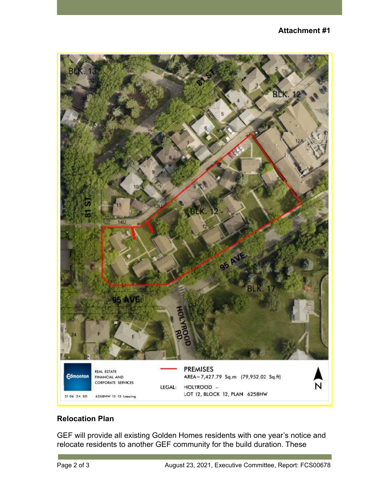

# **Relocation Plan**

GEF will provide all existing Golden Homes residents with one year's notice and relocate residents to another GEF community for the build duration. These